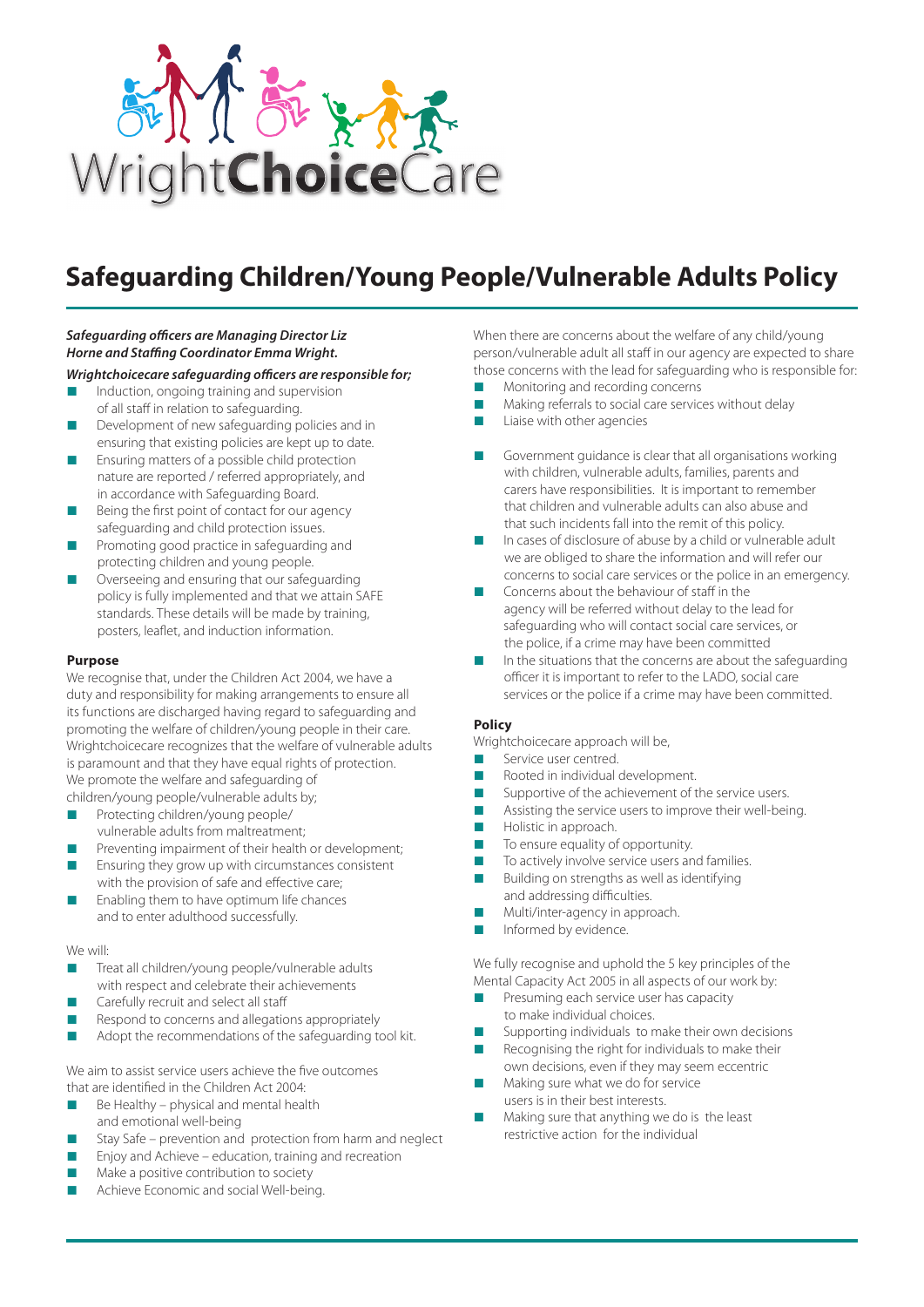

# **Safeguarding Children/Young People/Vulnerable Adults Policy**

## *Safeguarding officers are Managing Director Liz Horne and Staffing Coordinator Emma Wright.*

- *Wrightchoicecare safeguarding officers are responsible for;*
- $\blacksquare$  Induction, ongoing training and supervision of all staff in relation to safeguarding.
- Development of new safeguarding policies and in ensuring that existing policies are kept up to date.
- $\blacksquare$  Ensuring matters of a possible child protection nature are reported / referred appropriately, and in accordance with Safeguarding Board.
- $\blacksquare$  Being the first point of contact for our agency safeguarding and child protection issues.
- Promoting good practice in safeguarding and protecting children and young people.
- Overseeing and ensuring that our safeguarding policy is fully implemented and that we attain SAFE standards. These details will be made by training, posters, leaflet, and induction information.

### **Purpose**

We recognise that, under the Children Act 2004, we have a duty and responsibility for making arrangements to ensure all its functions are discharged having regard to safeguarding and promoting the welfare of children/young people in their care. Wrightchoicecare recognizes that the welfare of vulnerable adults is paramount and that they have equal rights of protection. We promote the welfare and safeguarding of children/young people/vulnerable adults by;

Protecting children/young people/

- vulnerable adults from maltreatment;
- $\blacksquare$  Preventing impairment of their health or development;
- $n =$  Ensuring they grow up with circumstances consistent with the provision of safe and effective care;
- $\blacksquare$  Enabling them to have optimum life chances and to enter adulthood successfully.

### We will:

- Treat all children/young people/vulnerable adults with respect and celebrate their achievements
- Carefully recruit and select all staff
- Respond to concerns and allegations appropriately
- $\blacksquare$  Adopt the recommendations of the safeguarding tool kit.

We aim to assist service users achieve the five outcomes that are identified in the Children Act 2004:

- $\blacksquare$  Be Healthy physical and mental health and emotional well-being
- Stay Safe prevention and protection from harm and neglect
- $\blacksquare$  Enjoy and Achieve education, training and recreation
- Make a positive contribution to society
- Achieve Economic and social Well-being.

When there are concerns about the welfare of any child/young person/vulnerable adult all staff in our agency are expected to share those concerns with the lead for safeguarding who is responsible for:

- Monitoring and recording concerns
- n Making referrals to social care services without delay
- Liaise with other agencies
- Government guidance is clear that all organisations working with children, vulnerable adults, families, parents and carers have responsibilities. It is important to remember that children and vulnerable adults can also abuse and that such incidents fall into the remit of this policy.
- In cases of disclosure of abuse by a child or vulnerable adult we are obliged to share the information and will refer our concerns to social care services or the police in an emergency.
- Concerns about the behaviour of staff in the agency will be referred without delay to the lead for safeguarding who will contact social care services, or the police, if a crime may have been committed
- n In the situations that the concerns are about the safeguarding officer it is important to refer to the LADO, social care services or the police if a crime may have been committed.

### **Policy**

Wrightchoicecare approach will be.

- Service user centred.
- Rooted in individual development.
- Supportive of the achievement of the service users.
- Assisting the service users to improve their well-being.
- Holistic in approach.
- To ensure equality of opportunity.
- To actively involve service users and families.
- Building on strengths as well as identifying and addressing difficulties.
- Multi/inter-agency in approach.
- Informed by evidence.

We fully recognise and uphold the 5 key principles of the Mental Capacity Act 2005 in all aspects of our work by:

- Presuming each service user has capacity to make individual choices.
- Supporting individuals to make their own decisions
- Recognising the right for individuals to make their own decisions, even if they may seem eccentric
- Making sure what we do for service users is in their best interests.
- Making sure that anything we do is the least restrictive action for the individual